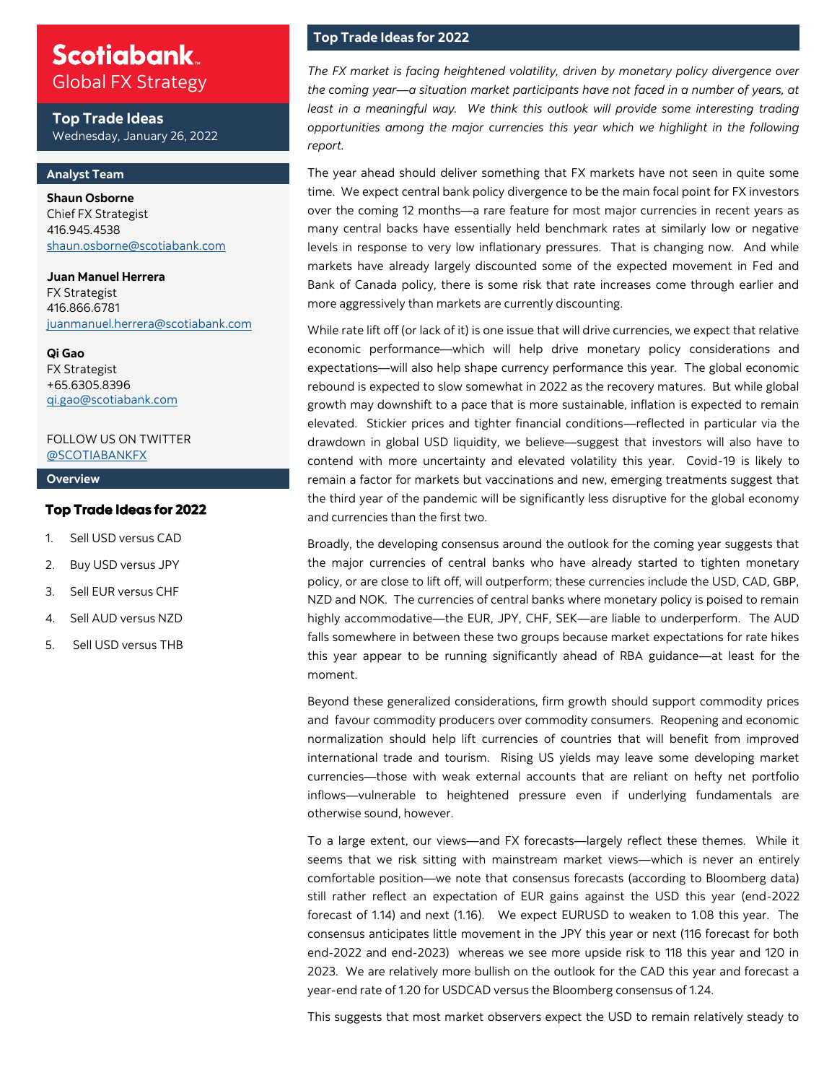### **Scotiabank** Global FX Strategy

**Top Trade Ideas** Wednesday, January 26, 2022

#### **Analyst Team**

**Shaun Osborne**  Chief FX Strategist 416.945.4538 [shaun.osborne@scotiabank.com](mailto:shaun.osborne@scotiabank.com)

**Juan Manuel Herrera**  FX Strategist 416.866.6781 [juanmanuel.herrera@scotiabank.com](mailto:juanmanuel.herrera@scotiabank.com)

**Qi Gao** FX Strategist +65.6305.8396 qi.gao@scotiabank.com

#### FOLLOW US ON TWITTER [@SCOTIABANKFX](https://twitter.com/Scotiabankfx)

#### **Overview**

#### Top Trade Ideas for 2022

- 1. Sell USD versus CAD
- 2. Buy USD versus JPY
- 3. Sell EUR versus CHF
- 4. Sell AUD versus NZD
- 5. Sell USD versus THB

### **Top Trade Ideas for 2022**

*The FX market is facing heightened volatility, driven by monetary policy divergence over the coming year—a situation market participants have not faced in a number of years, at least in a meaningful way. We think this outlook will provide some interesting trading opportunities among the major currencies this year which we highlight in the following report.* 

The year ahead should deliver something that FX markets have not seen in quite some time. We expect central bank policy divergence to be the main focal point for FX investors over the coming 12 months—a rare feature for most major currencies in recent years as many central backs have essentially held benchmark rates at similarly low or negative levels in response to very low inflationary pressures. That is changing now. And while markets have already largely discounted some of the expected movement in Fed and Bank of Canada policy, there is some risk that rate increases come through earlier and more aggressively than markets are currently discounting.

While rate lift off (or lack of it) is one issue that will drive currencies, we expect that relative economic performance—which will help drive monetary policy considerations and expectations—will also help shape currency performance this year. The global economic rebound is expected to slow somewhat in 2022 as the recovery matures. But while global growth may downshift to a pace that is more sustainable, inflation is expected to remain elevated. Stickier prices and tighter financial conditions—reflected in particular via the drawdown in global USD liquidity, we believe—suggest that investors will also have to contend with more uncertainty and elevated volatility this year. Covid-19 is likely to remain a factor for markets but vaccinations and new, emerging treatments suggest that the third year of the pandemic will be significantly less disruptive for the global economy and currencies than the first two.

Broadly, the developing consensus around the outlook for the coming year suggests that the major currencies of central banks who have already started to tighten monetary policy, or are close to lift off, will outperform; these currencies include the USD, CAD, GBP, NZD and NOK. The currencies of central banks where monetary policy is poised to remain highly accommodative—the EUR, JPY, CHF, SEK—are liable to underperform. The AUD falls somewhere in between these two groups because market expectations for rate hikes this year appear to be running significantly ahead of RBA guidance—at least for the moment.

Beyond these generalized considerations, firm growth should support commodity prices and favour commodity producers over commodity consumers. Reopening and economic normalization should help lift currencies of countries that will benefit from improved international trade and tourism. Rising US yields may leave some developing market currencies—those with weak external accounts that are reliant on hefty net portfolio inflows—vulnerable to heightened pressure even if underlying fundamentals are otherwise sound, however.

To a large extent, our views—and FX forecasts—largely reflect these themes. While it seems that we risk sitting with mainstream market views—which is never an entirely comfortable position—we note that consensus forecasts (according to Bloomberg data) still rather reflect an expectation of EUR gains against the USD this year (end-2022 forecast of 1.14) and next (1.16). We expect EURUSD to weaken to 1.08 this year. The consensus anticipates little movement in the JPY this year or next (116 forecast for both end-2022 and end-2023) whereas we see more upside risk to 118 this year and 120 in 2023. We are relatively more bullish on the outlook for the CAD this year and forecast a year-end rate of 1.20 for USDCAD versus the Bloomberg consensus of 1.24.

This suggests that most market observers expect the USD to remain relatively steady to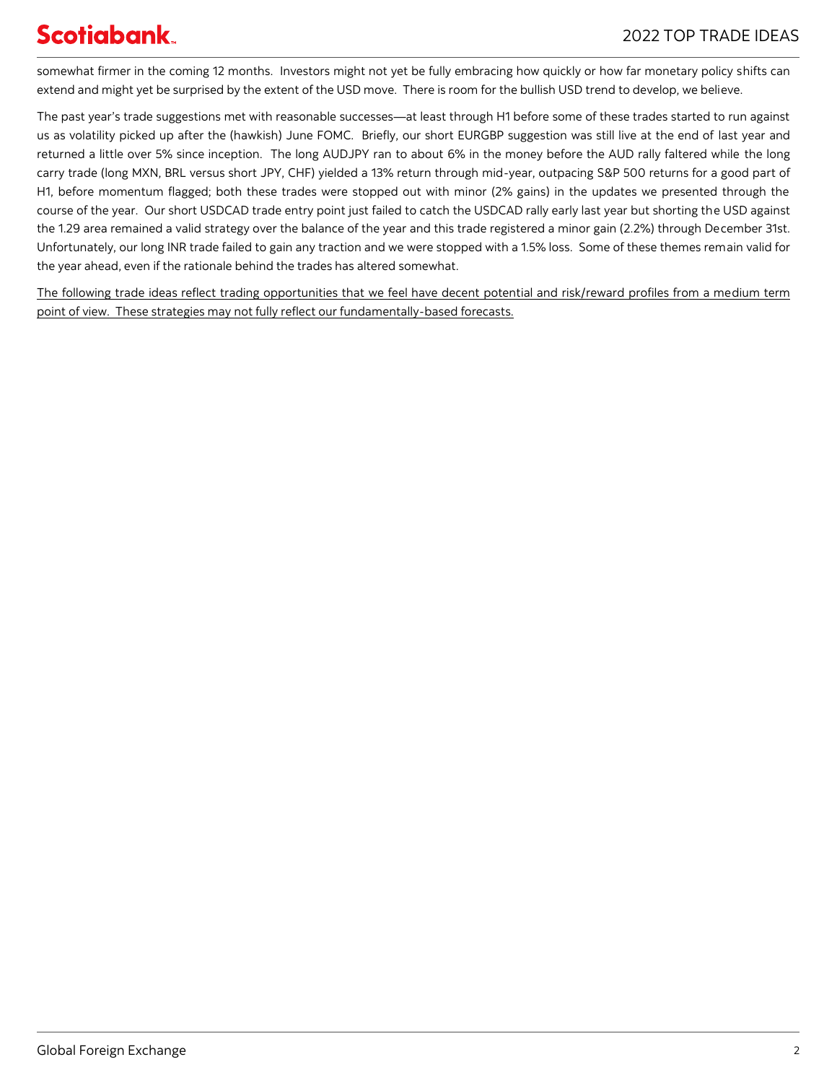somewhat firmer in the coming 12 months. Investors might not yet be fully embracing how quickly or how far monetary policy shifts can extend and might yet be surprised by the extent of the USD move. There is room for the bullish USD trend to develop, we believe.

The past year's trade suggestions met with reasonable successes—at least through H1 before some of these trades started to run against us as volatility picked up after the (hawkish) June FOMC. Briefly, our short EURGBP suggestion was still live at the end of last year and returned a little over 5% since inception. The long AUDJPY ran to about 6% in the money before the AUD rally faltered while the long carry trade (long MXN, BRL versus short JPY, CHF) yielded a 13% return through mid-year, outpacing S&P 500 returns for a good part of H1, before momentum flagged; both these trades were stopped out with minor (2% gains) in the updates we presented through the course of the year. Our short USDCAD trade entry point just failed to catch the USDCAD rally early last year but shorting the USD against the 1.29 area remained a valid strategy over the balance of the year and this trade registered a minor gain (2.2%) through December 31st. Unfortunately, our long INR trade failed to gain any traction and we were stopped with a 1.5% loss. Some of these themes remain valid for the year ahead, even if the rationale behind the trades has altered somewhat.

The following trade ideas reflect trading opportunities that we feel have decent potential and risk/reward profiles from a medium term point of view. These strategies may not fully reflect our fundamentally-based forecasts.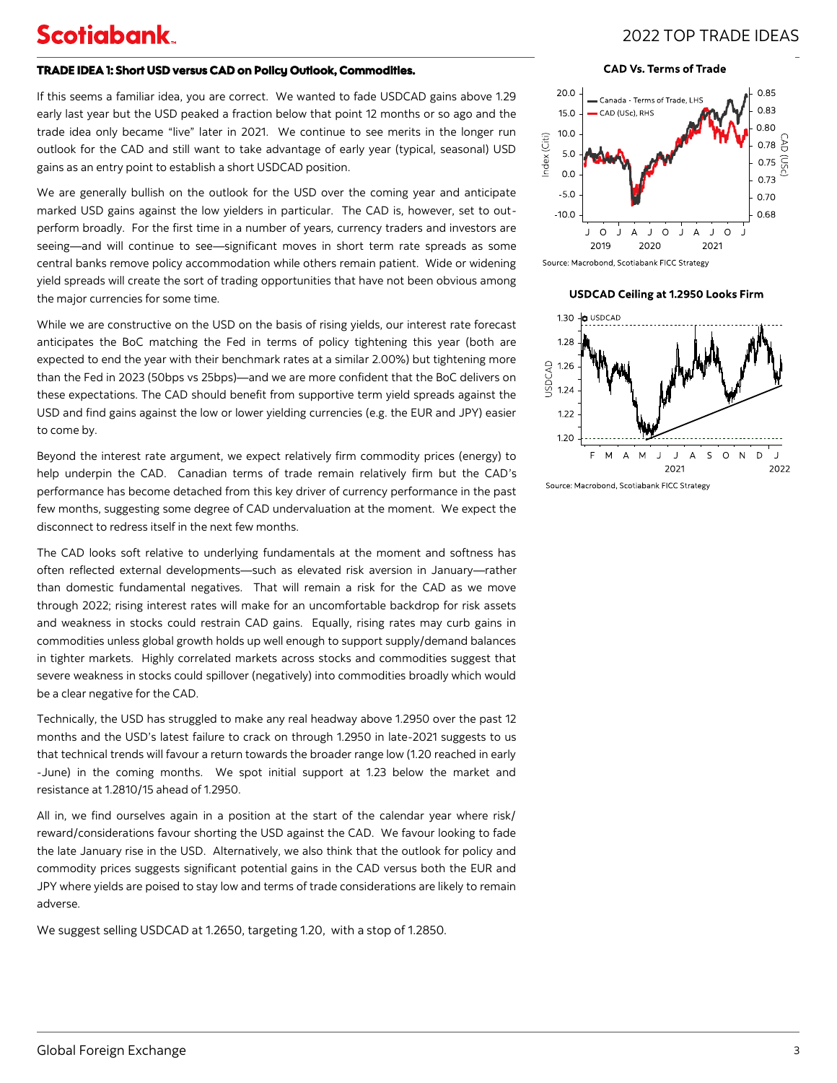### 2022 TOP TRADE IDEAS

#### TRADE IDEA 1: Short USD versus CAD on Policy Outlook, Commodities.

If this seems a familiar idea, you are correct. We wanted to fade USDCAD gains above 1.29 early last year but the USD peaked a fraction below that point 12 months or so ago and the trade idea only became "live" later in 2021. We continue to see merits in the longer run outlook for the CAD and still want to take advantage of early year (typical, seasonal) USD gains as an entry point to establish a short USDCAD position.

We are generally bullish on the outlook for the USD over the coming year and anticipate marked USD gains against the low yielders in particular. The CAD is, however, set to outperform broadly. For the first time in a number of years, currency traders and investors are seeing—and will continue to see—significant moves in short term rate spreads as some central banks remove policy accommodation while others remain patient. Wide or widening yield spreads will create the sort of trading opportunities that have not been obvious among the major currencies for some time.

While we are constructive on the USD on the basis of rising yields, our interest rate forecast anticipates the BoC matching the Fed in terms of policy tightening this year (both are expected to end the year with their benchmark rates at a similar 2.00%) but tightening more than the Fed in 2023 (50bps vs 25bps)—and we are more confident that the BoC delivers on these expectations. The CAD should benefit from supportive term yield spreads against the USD and find gains against the low or lower yielding currencies (e.g. the EUR and JPY) easier to come by.

Beyond the interest rate argument, we expect relatively firm commodity prices (energy) to help underpin the CAD. Canadian terms of trade remain relatively firm but the CAD's performance has become detached from this key driver of currency performance in the past few months, suggesting some degree of CAD undervaluation at the moment. We expect the disconnect to redress itself in the next few months.

The CAD looks soft relative to underlying fundamentals at the moment and softness has often reflected external developments—such as elevated risk aversion in January—rather than domestic fundamental negatives. That will remain a risk for the CAD as we move through 2022; rising interest rates will make for an uncomfortable backdrop for risk assets and weakness in stocks could restrain CAD gains. Equally, rising rates may curb gains in commodities unless global growth holds up well enough to support supply/demand balances in tighter markets. Highly correlated markets across stocks and commodities suggest that severe weakness in stocks could spillover (negatively) into commodities broadly which would be a clear negative for the CAD.

Technically, the USD has struggled to make any real headway above 1.2950 over the past 12 months and the USD's latest failure to crack on through 1.2950 in late-2021 suggests to us that technical trends will favour a return towards the broader range low (1.20 reached in early -June) in the coming months. We spot initial support at 1.23 below the market and resistance at 1.2810/15 ahead of 1.2950.

All in, we find ourselves again in a position at the start of the calendar year where risk/ reward/considerations favour shorting the USD against the CAD. We favour looking to fade the late January rise in the USD. Alternatively, we also think that the outlook for policy and commodity prices suggests significant potential gains in the CAD versus both the EUR and JPY where yields are poised to stay low and terms of trade considerations are likely to remain adverse.

We suggest selling USDCAD at 1.2650, targeting 1.20, with a stop of 1.2850.

#### **CAD Vs. Terms of Trade**



Source: Macrobond, Scotiabank FICC Strategy

#### USDCAD Ceiling at 1.2950 Looks Firm

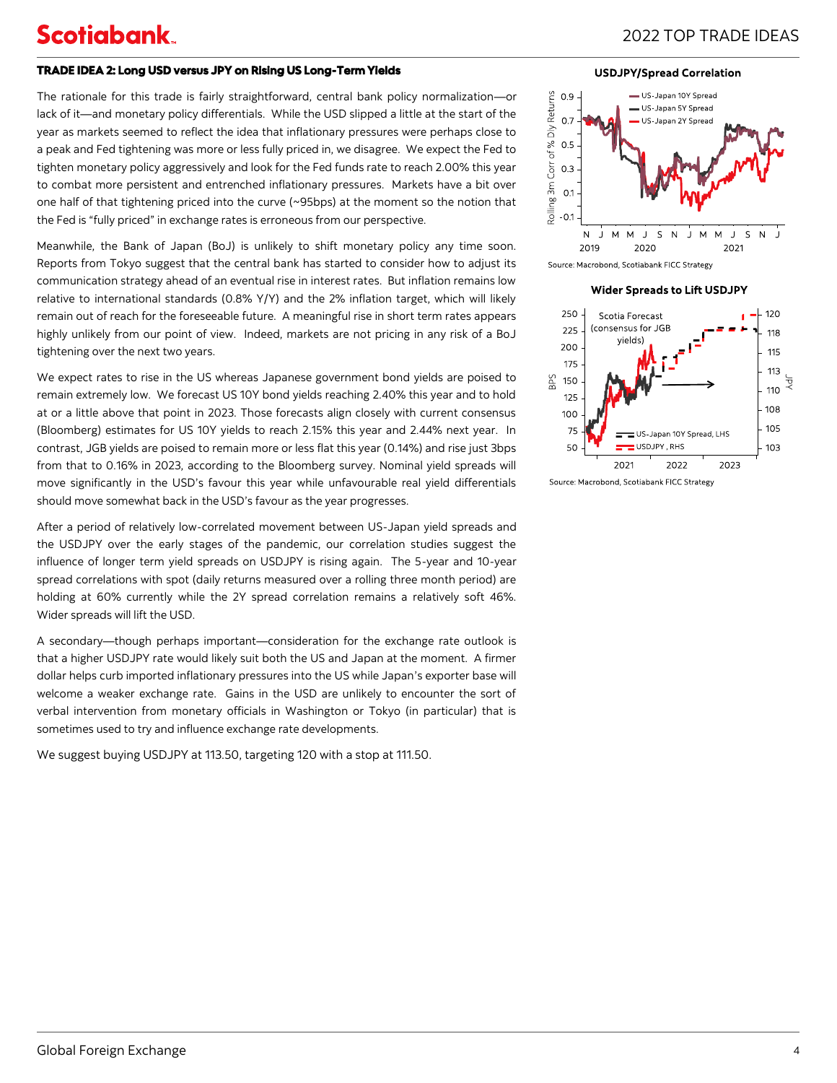#### TRADE IDEA 2: Long USD versus JPY on Rising US Long-Term Yields

The rationale for this trade is fairly straightforward, central bank policy normalization—or lack of it—and monetary policy differentials. While the USD slipped a little at the start of the year as markets seemed to reflect the idea that inflationary pressures were perhaps close to a peak and Fed tightening was more or less fully priced in, we disagree. We expect the Fed to tighten monetary policy aggressively and look for the Fed funds rate to reach 2.00% this year to combat more persistent and entrenched inflationary pressures. Markets have a bit over one half of that tightening priced into the curve (~95bps) at the moment so the notion that the Fed is "fully priced" in exchange rates is erroneous from our perspective.

Meanwhile, the Bank of Japan (BoJ) is unlikely to shift monetary policy any time soon. Reports from Tokyo suggest that the central bank has started to consider how to adjust its communication strategy ahead of an eventual rise in interest rates. But inflation remains low relative to international standards (0.8% Y/Y) and the 2% inflation target, which will likely remain out of reach for the foreseeable future. A meaningful rise in short term rates appears highly unlikely from our point of view. Indeed, markets are not pricing in any risk of a BoJ tightening over the next two years.

We expect rates to rise in the US whereas Japanese government bond yields are poised to remain extremely low. We forecast US 10Y bond yields reaching 2.40% this year and to hold at or a little above that point in 2023. Those forecasts align closely with current consensus (Bloomberg) estimates for US 10Y yields to reach 2.15% this year and 2.44% next year. In contrast, JGB yields are poised to remain more or less flat this year (0.14%) and rise just 3bps from that to 0.16% in 2023, according to the Bloomberg survey. Nominal yield spreads will move significantly in the USD's favour this year while unfavourable real yield differentials should move somewhat back in the USD's favour as the year progresses.

After a period of relatively low-correlated movement between US-Japan yield spreads and the USDJPY over the early stages of the pandemic, our correlation studies suggest the influence of longer term yield spreads on USDJPY is rising again. The 5-year and 10-year spread correlations with spot (daily returns measured over a rolling three month period) are holding at 60% currently while the 2Y spread correlation remains a relatively soft 46%. Wider spreads will lift the USD.

A secondary—though perhaps important—consideration for the exchange rate outlook is that a higher USDJPY rate would likely suit both the US and Japan at the moment. A firmer dollar helps curb imported inflationary pressures into the US while Japan's exporter base will welcome a weaker exchange rate. Gains in the USD are unlikely to encounter the sort of verbal intervention from monetary officials in Washington or Tokyo (in particular) that is sometimes used to try and influence exchange rate developments.

We suggest buying USDJPY at 113.50, targeting 120 with a stop at 111.50.

**USDJPY/Spread Correlation** 



Source: Macrobond, Scotiabank FICC Strategy

**Wider Spreads to Lift USDJPY** 



Source: Macrobond, Scotiabank FICC Strategy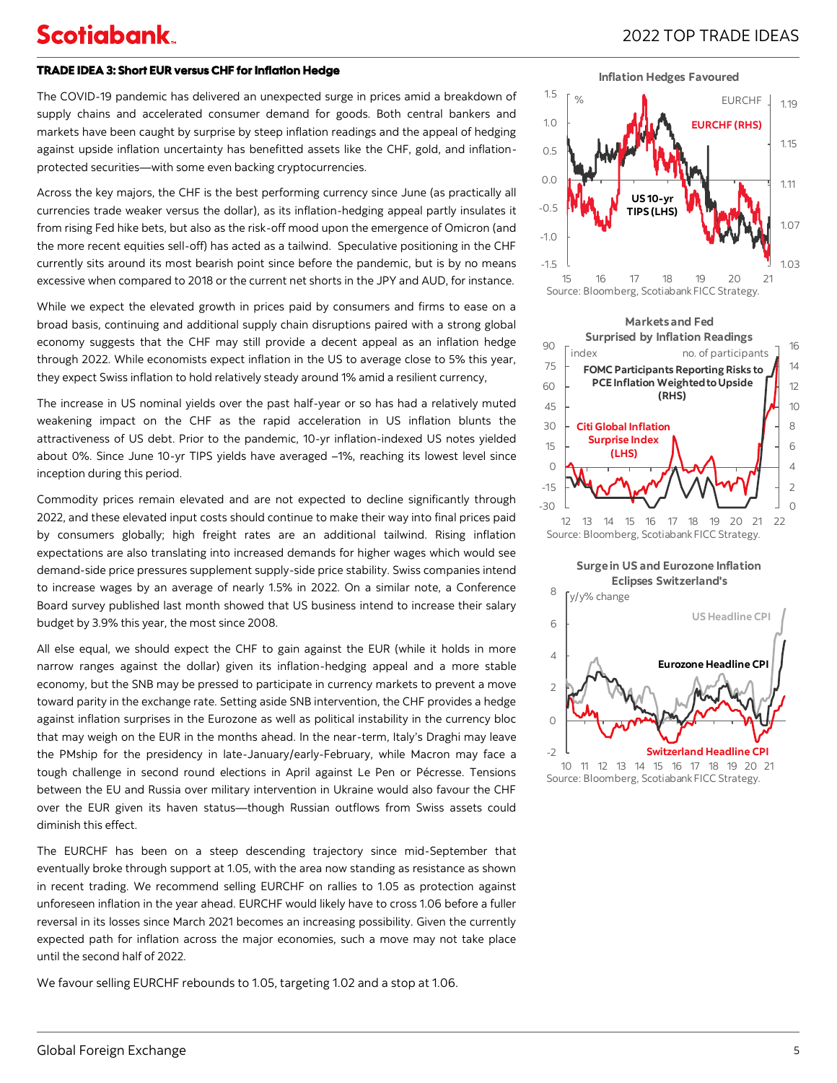### 2022 TOP TRADE IDEAS

#### TRADE IDEA 3: Short EUR versus CHF for Inflation Hedge

The COVID-19 pandemic has delivered an unexpected surge in prices amid a breakdown of supply chains and accelerated consumer demand for goods. Both central bankers and markets have been caught by surprise by steep inflation readings and the appeal of hedging against upside inflation uncertainty has benefitted assets like the CHF, gold, and inflationprotected securities—with some even backing cryptocurrencies.

Across the key majors, the CHF is the best performing currency since June (as practically all currencies trade weaker versus the dollar), as its inflation-hedging appeal partly insulates it from rising Fed hike bets, but also as the risk-off mood upon the emergence of Omicron (and the more recent equities sell-off) has acted as a tailwind. Speculative positioning in the CHF currently sits around its most bearish point since before the pandemic, but is by no means excessive when compared to 2018 or the current net shorts in the JPY and AUD, for instance.

While we expect the elevated growth in prices paid by consumers and firms to ease on a broad basis, continuing and additional supply chain disruptions paired with a strong global economy suggests that the CHF may still provide a decent appeal as an inflation hedge through 2022. While economists expect inflation in the US to average close to 5% this year, they expect Swiss inflation to hold relatively steady around 1% amid a resilient currency,

The increase in US nominal yields over the past half-year or so has had a relatively muted weakening impact on the CHF as the rapid acceleration in US inflation blunts the attractiveness of US debt. Prior to the pandemic, 10-yr inflation-indexed US notes yielded about 0%. Since June 10-yr TIPS yields have averaged –1%, reaching its lowest level since inception during this period.

Commodity prices remain elevated and are not expected to decline significantly through 2022, and these elevated input costs should continue to make their way into final prices paid by consumers globally; high freight rates are an additional tailwind. Rising inflation expectations are also translating into increased demands for higher wages which would see demand-side price pressures supplement supply-side price stability. Swiss companies intend to increase wages by an average of nearly 1.5% in 2022. On a similar note, a Conference Board survey published last month showed that US business intend to increase their salary budget by 3.9% this year, the most since 2008.

All else equal, we should expect the CHF to gain against the EUR (while it holds in more narrow ranges against the dollar) given its inflation-hedging appeal and a more stable economy, but the SNB may be pressed to participate in currency markets to prevent a move toward parity in the exchange rate. Setting aside SNB intervention, the CHF provides a hedge against inflation surprises in the Eurozone as well as political instability in the currency bloc that may weigh on the EUR in the months ahead. In the near-term, Italy's Draghi may leave the PMship for the presidency in late-January/early-February, while Macron may face a tough challenge in second round elections in April against Le Pen or Pécresse. Tensions between the EU and Russia over military intervention in Ukraine would also favour the CHF over the EUR given its haven status—though Russian outflows from Swiss assets could diminish this effect.

The EURCHF has been on a steep descending trajectory since mid-September that eventually broke through support at 1.05, with the area now standing as resistance as shown in recent trading. We recommend selling EURCHF on rallies to 1.05 as protection against unforeseen inflation in the year ahead. EURCHF would likely have to cross 1.06 before a fuller reversal in its losses since March 2021 becomes an increasing possibility. Given the currently expected path for inflation across the major economies, such a move may not take place until the second half of 2022.

We favour selling EURCHF rebounds to 1.05, targeting 1.02 and a stop at 1.06.





**Surgein US and Eurozone Inflation Eclipses Switzerland's**



Source: Bloomberg, Scotiabank FICC Strategy.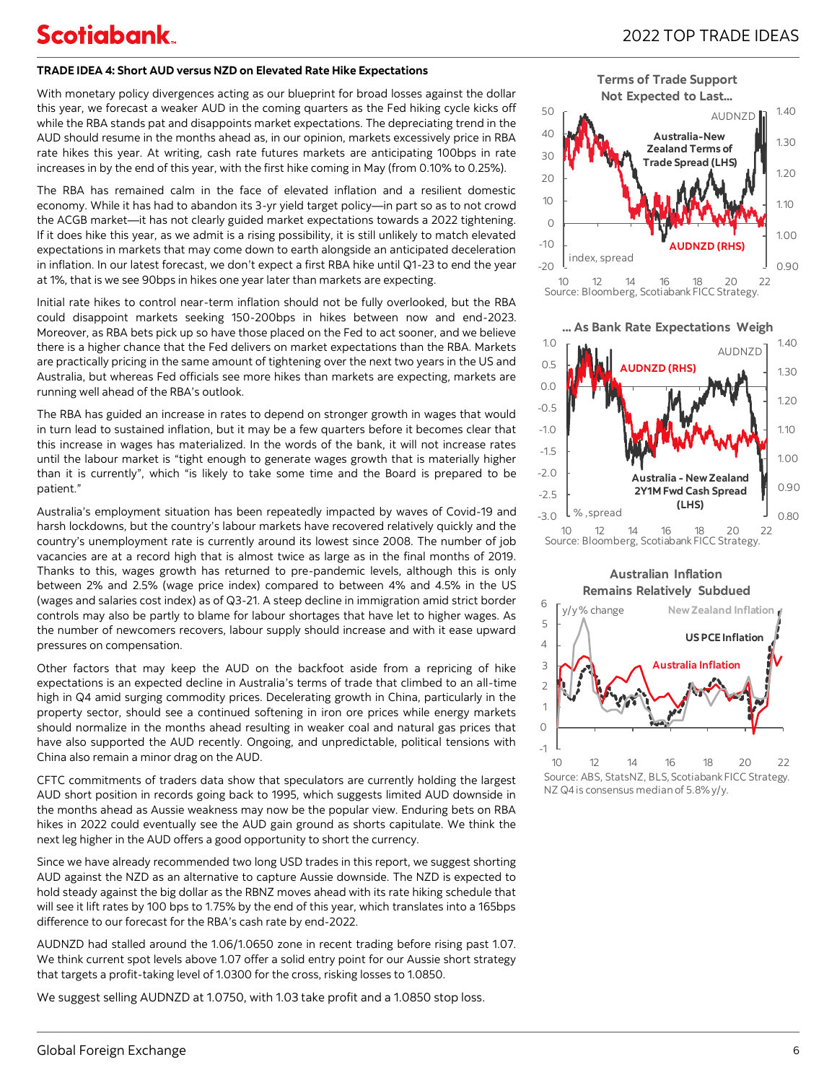#### **TRADE IDEA 4: Short AUD versus NZD on Elevated Rate Hike Expectations**

With monetary policy divergences acting as our blueprint for broad losses against the dollar this year, we forecast a weaker AUD in the coming quarters as the Fed hiking cycle kicks off while the RBA stands pat and disappoints market expectations. The depreciating trend in the AUD should resume in the months ahead as, in our opinion, markets excessively price in RBA rate hikes this year. At writing, cash rate futures markets are anticipating 100bps in rate increases in by the end of this year, with the first hike coming in May (from 0.10% to 0.25%).

The RBA has remained calm in the face of elevated inflation and a resilient domestic economy. While it has had to abandon its 3-yr yield target policy—in part so as to not crowd the ACGB market—it has not clearly guided market expectations towards a 2022 tightening. If it does hike this year, as we admit is a rising possibility, it is still unlikely to match elevated expectations in markets that may come down to earth alongside an anticipated deceleration in inflation. In our latest forecast, we don't expect a first RBA hike until Q1-23 to end the year at 1%, that is we see 90bps in hikes one year later than markets are expecting.

Initial rate hikes to control near-term inflation should not be fully overlooked, but the RBA could disappoint markets seeking 150-200bps in hikes between now and end-2023. Moreover, as RBA bets pick up so have those placed on the Fed to act sooner, and we believe there is a higher chance that the Fed delivers on market expectations than the RBA. Markets are practically pricing in the same amount of tightening over the next two years in the US and Australia, but whereas Fed officials see more hikes than markets are expecting, markets are running well ahead of the RBA's outlook.

The RBA has guided an increase in rates to depend on stronger growth in wages that would in turn lead to sustained inflation, but it may be a few quarters before it becomes clear that this increase in wages has materialized. In the words of the bank, it will not increase rates until the labour market is "tight enough to generate wages growth that is materially higher than it is currently", which "is likely to take some time and the Board is prepared to be patient."

Australia's employment situation has been repeatedly impacted by waves of Covid-19 and harsh lockdowns, but the country's labour markets have recovered relatively quickly and the country's unemployment rate is currently around its lowest since 2008. The number of job vacancies are at a record high that is almost twice as large as in the final months of 2019. Thanks to this, wages growth has returned to pre-pandemic levels, although this is only between 2% and 2.5% (wage price index) compared to between 4% and 4.5% in the US (wages and salaries cost index) as of Q3-21. A steep decline in immigration amid strict border controls may also be partly to blame for labour shortages that have let to higher wages. As the number of newcomers recovers, labour supply should increase and with it ease upward pressures on compensation.

Other factors that may keep the AUD on the backfoot aside from a repricing of hike expectations is an expected decline in Australia's terms of trade that climbed to an all-time high in Q4 amid surging commodity prices. Decelerating growth in China, particularly in the property sector, should see a continued softening in iron ore prices while energy markets should normalize in the months ahead resulting in weaker coal and natural gas prices that have also supported the AUD recently. Ongoing, and unpredictable, political tensions with China also remain a minor drag on the AUD.

CFTC commitments of traders data show that speculators are currently holding the largest AUD short position in records going back to 1995, which suggests limited AUD downside in the months ahead as Aussie weakness may now be the popular view. Enduring bets on RBA hikes in 2022 could eventually see the AUD gain ground as shorts capitulate. We think the next leg higher in the AUD offers a good opportunity to short the currency.

Since we have already recommended two long USD trades in this report, we suggest shorting AUD against the NZD as an alternative to capture Aussie downside. The NZD is expected to hold steady against the big dollar as the RBNZ moves ahead with its rate hiking schedule that will see it lift rates by 100 bps to 1.75% by the end of this year, which translates into a 165bps difference to our forecast for the RBA's cash rate by end-2022.

AUDNZD had stalled around the 1.06/1.0650 zone in recent trading before rising past 1.07. We think current spot levels above 1.07 offer a solid entry point for our Aussie short strategy that targets a profit-taking level of 1.0300 for the cross, risking losses to 1.0850.

We suggest selling AUDNZD at 1.0750, with 1.03 take profit and a 1.0850 stop loss.



**... As Bank Rate Expectations Weigh**







Source: ABS, StatsNZ, BLS, Scotiabank FICC Strategy. NZ Q4 is consensus median of 5.8% y/y.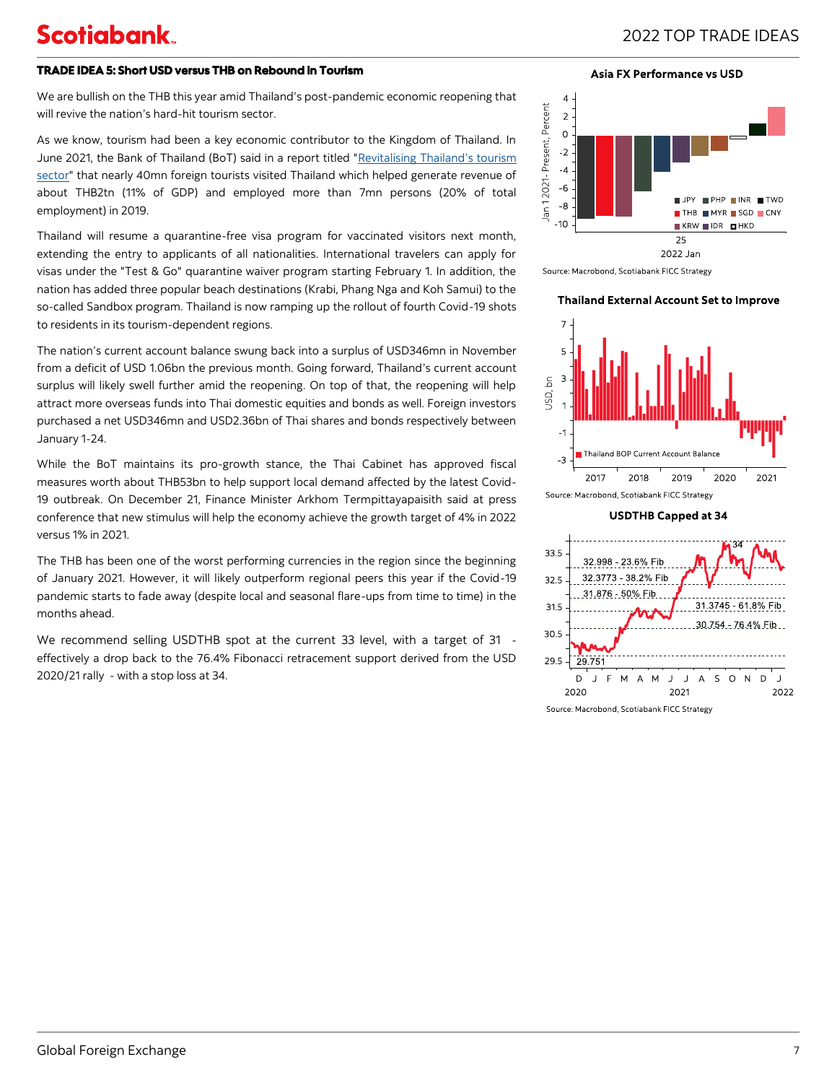### 2022 TOP TRADE IDEAS

#### TRADE IDEA 5: Short USD versus THB on Rebound in Tourism

We are bullish on the THB this year amid Thailand's post-pandemic economic reopening that will revive the nation's hard-hit tourism sector.

As we know, tourism had been a key economic contributor to the Kingdom of Thailand. In June 2021, the Bank of Thailand (BoT) said in a report titled "[Revitalising Thailand](https://www.bot.or.th/Thai/MonetaryPolicy/EconomicConditions/AAA/250624_WhitepaperVISA.pdf)'s tourism [sector"](https://www.bot.or.th/Thai/MonetaryPolicy/EconomicConditions/AAA/250624_WhitepaperVISA.pdf) that nearly 40mn foreign tourists visited Thailand which helped generate revenue of about THB2tn (11% of GDP) and employed more than 7mn persons (20% of total employment) in 2019.

Thailand will resume a quarantine-free visa program for vaccinated visitors next month, extending the entry to applicants of all nationalities. International travelers can apply for visas under the "Test & Go" quarantine waiver program starting February 1. In addition, the nation has added three popular beach destinations (Krabi, Phang Nga and Koh Samui) to the so-called Sandbox program. Thailand is now ramping up the rollout of fourth Covid-19 shots to residents in its tourism-dependent regions.

The nation's current account balance swung back into a surplus of USD346mn in November from a deficit of USD 1.06bn the previous month. Going forward, Thailand's current account surplus will likely swell further amid the reopening. On top of that, the reopening will help attract more overseas funds into Thai domestic equities and bonds as well. Foreign investors purchased a net USD346mn and USD2.36bn of Thai shares and bonds respectively between January 1-24.

While the BoT maintains its pro-growth stance, the Thai Cabinet has approved fiscal measures worth about THB53bn to help support local demand affected by the latest Covid-19 outbreak. On December 21, Finance Minister Arkhom Termpittayapaisith said at press conference that new stimulus will help the economy achieve the growth target of 4% in 2022 versus 1% in 2021.

The THB has been one of the worst performing currencies in the region since the beginning of January 2021. However, it will likely outperform regional peers this year if the Covid-19 pandemic starts to fade away (despite local and seasonal flare-ups from time to time) in the months ahead.

We recommend selling USDTHB spot at the current 33 level, with a target of 31 effectively a drop back to the 76.4% Fibonacci retracement support derived from the USD 2020/21 rally - with a stop loss at 34.

#### **Asia FX Performance vs USD**



Source: Macrobond, Scotiabank FICC Strategy

#### **Thailand External Account Set to Improve**